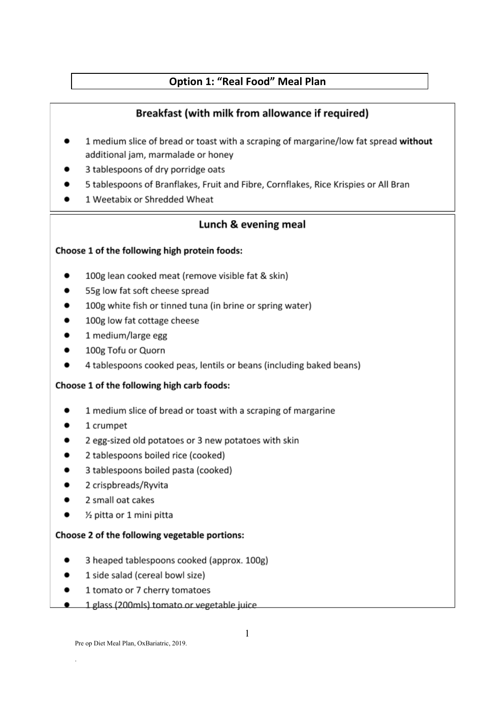# **Option 1: "Real Food" Meal Plan**

# Breakfast (with milk from allowance if required)

- 1 medium slice of bread or toast with a scraping of margarine/low fat spread without additional jam, marmalade or honey
- 3 tablespoons of dry porridge oats
- 5 tablespoons of Branflakes, Fruit and Fibre, Cornflakes, Rice Krispies or All Bran
- 1 Weetabix or Shredded Wheat

# Lunch & evening meal

# Choose 1 of the following high protein foods:

- 100g lean cooked meat (remove visible fat & skin)
- 55g low fat soft cheese spread
- 100g white fish or tinned tuna (in brine or spring water)
- 100g low fat cottage cheese
- 1 medium/large egg
- 100g Tofu or Quorn
- 4 tablespoons cooked peas, lentils or beans (including baked beans)

### Choose 1 of the following high carb foods:

- 1 medium slice of bread or toast with a scraping of margarine
- 1 crumpet
- 2 egg-sized old potatoes or 3 new potatoes with skin
- 2 tablespoons boiled rice (cooked)
- 3 tablespoons boiled pasta (cooked)
- 2 crispbreads/Ryvita
- 2 small oat cakes
- 1/2 pitta or 1 mini pitta

### Choose 2 of the following vegetable portions:

- 3 heaped tablespoons cooked (approx. 100g)
- $\bullet$ 1 side salad (cereal bowl size)
- 1 tomato or 7 cherry tomatoes
- 1 glass (200mls) tomato or vegetable juice.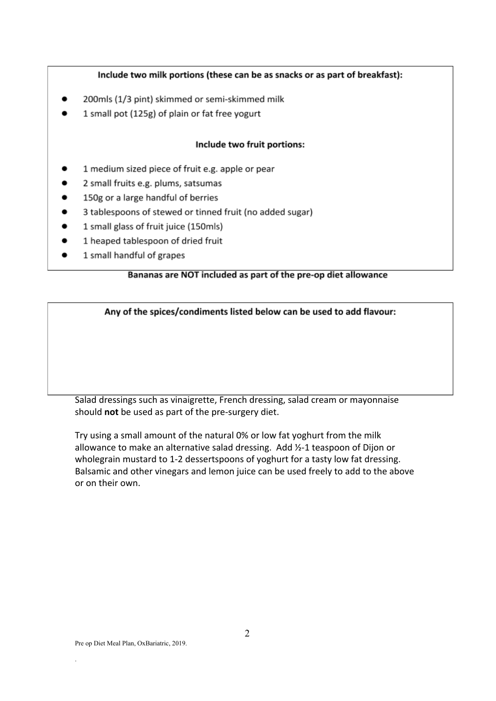## Include two milk portions (these can be as snacks or as part of breakfast):

- 200mls (1/3 pint) skimmed or semi-skimmed milk
- 1 small pot (125g) of plain or fat free yogurt

#### Include two fruit portions:

- 1 medium sized piece of fruit e.g. apple or pear
- 2 small fruits e.g. plums, satsumas
- 150g or a large handful of berries
- 3 tablespoons of stewed or tinned fruit (no added sugar)
- 1 small glass of fruit juice (150mls)
- 1 heaped tablespoon of dried fruit
- 1 small handful of grapes .

### Bananas are NOT included as part of the pre-op diet allowance

Any of the spices/condiments listed below can be used to add flavour:

Salad dressings such as vinaigrette, French dressing, salad cream or mayonnaise should not be used as part of the pre-surgery diet.

Try using a small amount of the natural 0% or low fat yoghurt from the milk allowance to make an alternative salad dressing. Add 1/2-1 teaspoon of Dijon or wholegrain mustard to 1-2 dessertspoons of yoghurt for a tasty low fat dressing. Balsamic and other vinegars and lemon juice can be used freely to add to the above or on their own.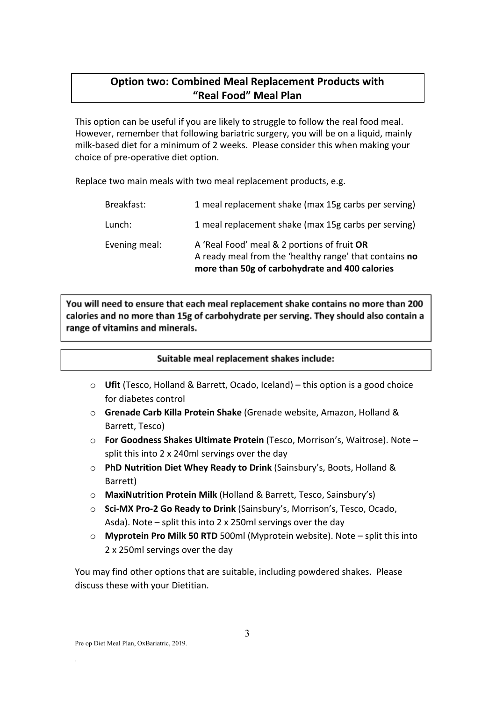# **Option two: Combined Meal Replacement Products with "Real Food" Meal Plan**

This option can be useful if you are likely to struggle to follow the real food meal. However, remember that following bariatric surgery, you will be on a liquid, mainly milk-based diet for a minimum of 2 weeks. Please consider this when making your choice of pre-operative diet option.

Replace two main meals with two meal replacement products, e.g.

| Evening meal: | A 'Real Food' meal & 2 portions of fruit OR<br>A ready meal from the 'healthy range' that contains no<br>more than 50g of carbohydrate and 400 calories |
|---------------|---------------------------------------------------------------------------------------------------------------------------------------------------------|
| Lunch:        | 1 meal replacement shake (max 15g carbs per serving)                                                                                                    |
| Breakfast:    | 1 meal replacement shake (max 15g carbs per serving)                                                                                                    |

You will need to ensure that each meal replacement shake contains no more than 200 calories and no more than 15g of carbohydrate per serving. They should also contain a range of vitamins and minerals.

### Suitable meal replacement shakes include:

- o **Ufit** (Tesco, Holland & Barrett, Ocado, Iceland) this option is a good choice for diabetes control
- o **Grenade Carb Killa Protein Shake** (Grenade website, Amazon, Holland & Barrett, Tesco)
- o **For Goodness Shakes Ultimate Protein** (Tesco, Morrison's, Waitrose). Note split this into 2 x 240ml servings over the day
- o **PhD Nutrition Diet Whey Ready to Drink** (Sainsbury's, Boots, Holland & Barrett)
- o **MaxiNutrition Protein Milk** (Holland & Barrett, Tesco, Sainsbury's)
- o **Sci-MX Pro-2 Go Ready to Drink** (Sainsbury's, Morrison's, Tesco, Ocado, Asda). Note – split this into 2 x 250ml servings over the day
- o **Myprotein Pro Milk 50 RTD** 500ml (Myprotein website). Note split this into 2 x 250ml servings over the day

You may find other options that are suitable, including powdered shakes. Please discuss these with your Dietitian.

.